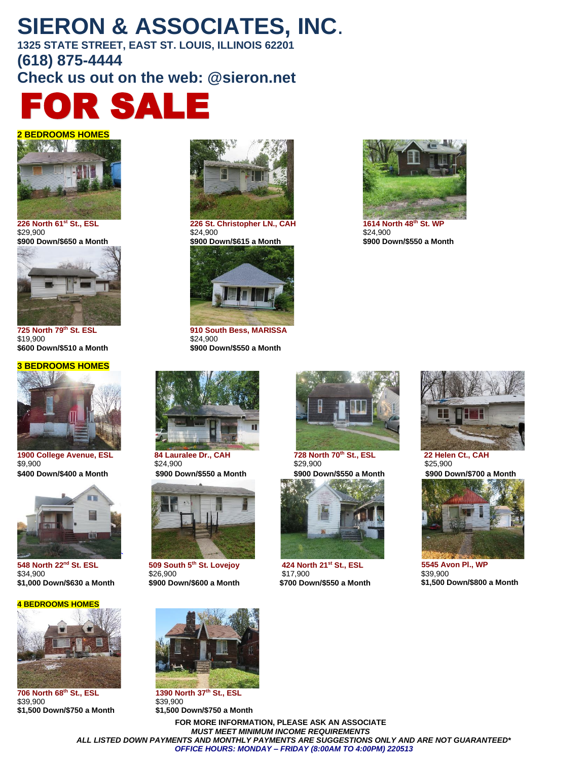# **SIERON & ASSOCIATES, INC**.

**1325 STATE STREET, EAST ST. LOUIS, ILLINOIS 62201 (618) 875-4444 Check us out on the web: @sieron.net**







\$19,900 \$24,900

#### **3 BEDROOMS HOMES**



**1900 College Avenue, ESL 84 Lauralee Dr., CAH 728 North 70<sup>th</sup> St., ESL 22 Helen Ct., CAH<br>\$9,900 \$25,900 \$25,900 \$25,900 <b>\$25,900**  $$29,900$  \$25,900 \$24,900 \$29,900 \$25,900 \$25,900



**548 North 22nd St. ESL**  \$34,900 **\$1,000 Down/\$630 a Month \$900 Down/\$600 a Month \$700 Down/\$550 a Month**

#### **4 BEDROOMS HOMES**



**706 North 68th St., ESL 1390 North 37th St., ESL** \$39,900 \$39,900



**226 North 61st St., ESL 226 St. Christopher LN., CAH 1614 North 48th St. WP**  $$24,900$   $$24,900$   $$24,900$ 



**725 North 79th St. ESL 910 South Bess, MARISSA \$600 Down/\$510 a Month \$900 Down/\$550 a Month** 



**\$400 Down/\$400 a Month \$900 Down/\$550 a Month \$900 Down/\$550 a Month \$900 Down/\$700 a Month**



**509 South 5th St. Lovejoy**  \$26,900<br>**\$900 Down/\$600 a Month** 





**424 North 21st St., ESL**  \$17,900<br>**\$700 Down/\$550 a Month** 



**\$900 Down/\$650 a Month \$900 Down/\$615 a Month \$900 Down/\$550 a Month**





 **5545 Avon Pl., WP** \$39,900 **\$1,500 Down/\$800 a Month** 



**\$1,500 Down/\$750 a Month \$1,500 Down/\$750 a Month**

**FOR MORE INFORMATION, PLEASE ASK AN ASSOCIATE** *MUST MEET MINIMUM INCOME REQUIREMENTS ALL LISTED DOWN PAYMENTS AND MONTHLY PAYMENTS ARE SUGGESTIONS ONLY AND ARE NOT GUARANTEED\* OFFICE HOURS: MONDAY – FRIDAY (8:00AM TO 4:00PM) 220513*